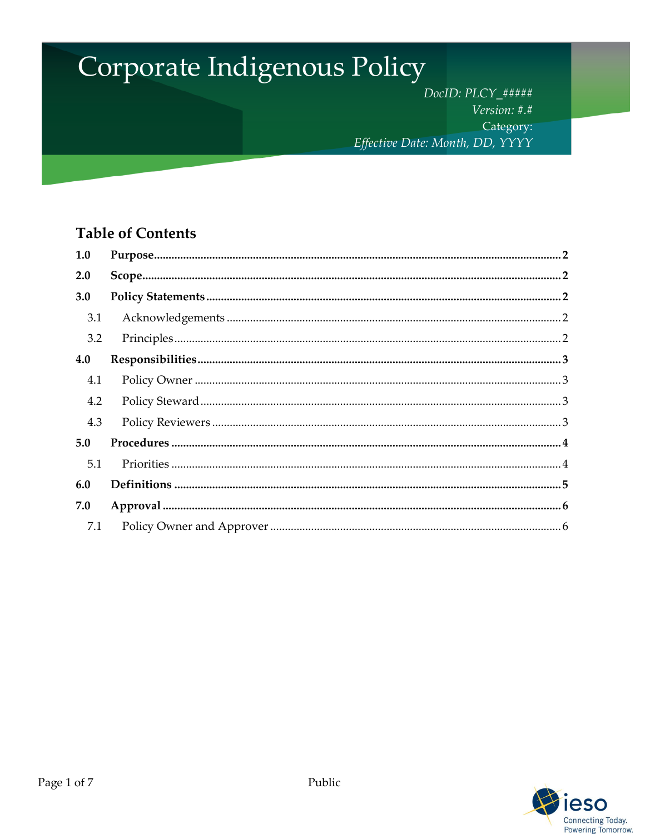# Corporate Indigenous Policy

DocID: PLCY\_##### Version: #.# Category: Effective Date: Month, DD, YYYY

# **Table of Contents**

| 1.0 |  |
|-----|--|
| 2.0 |  |
| 3.0 |  |
| 3.1 |  |
| 3.2 |  |
| 4.0 |  |
| 4.1 |  |
| 4.2 |  |
| 4.3 |  |
| 5.0 |  |
| 5.1 |  |
| 6.0 |  |
| 7.0 |  |
| 7.1 |  |

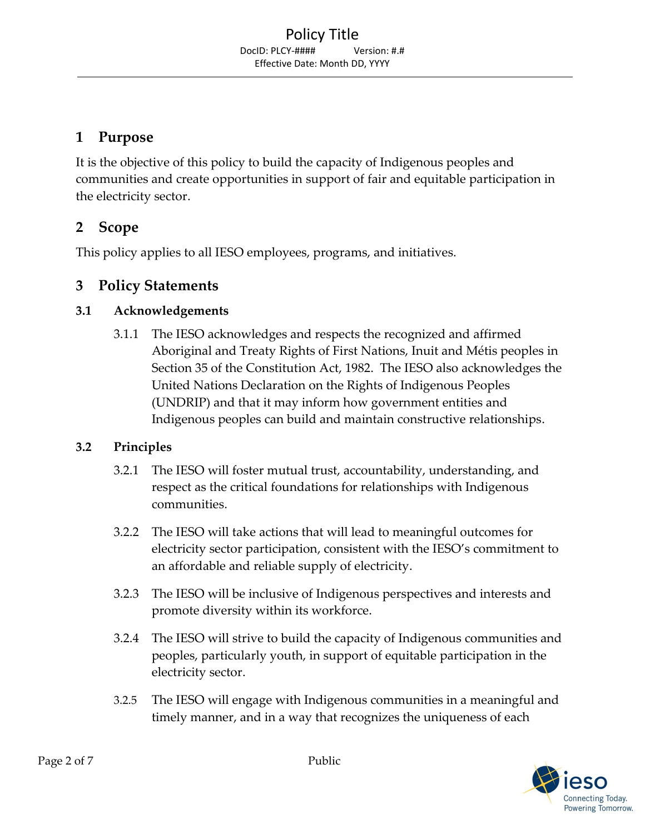## <span id="page-1-0"></span>**1 Purpose**

It is the objective of this policy to build the capacity of Indigenous peoples and communities and create opportunities in support of fair and equitable participation in the electricity sector.

## <span id="page-1-1"></span>**2 Scope**

This policy applies to all IESO employees, programs, and initiatives.

## <span id="page-1-2"></span>**3 Policy Statements**

## <span id="page-1-3"></span>**3.1 Acknowledgements**

3.1.1 The IESO acknowledges and respects the recognized and affirmed Aboriginal and Treaty Rights of First Nations, Inuit and Métis peoples in Section 35 of the Constitution Act, 1982. The IESO also acknowledges the United Nations Declaration on the Rights of Indigenous Peoples (UNDRIP) and that it may inform how government entities and Indigenous peoples can build and maintain constructive relationships.

## <span id="page-1-4"></span>**3.2 Principles**

- 3.2.1 The IESO will foster mutual trust, accountability, understanding, and respect as the critical foundations for relationships with Indigenous communities.
- 3.2.2 The IESO will take actions that will lead to meaningful outcomes for electricity sector participation, consistent with the IESO's commitment to an affordable and reliable supply of electricity.
- 3.2.3 The IESO will be inclusive of Indigenous perspectives and interests and promote diversity within its workforce.
- 3.2.4 The IESO will strive to build the capacity of Indigenous communities and peoples, particularly youth, in support of equitable participation in the electricity sector.
- 3.2.5 The IESO will engage with Indigenous communities in a meaningful and timely manner, and in a way that recognizes the uniqueness of each

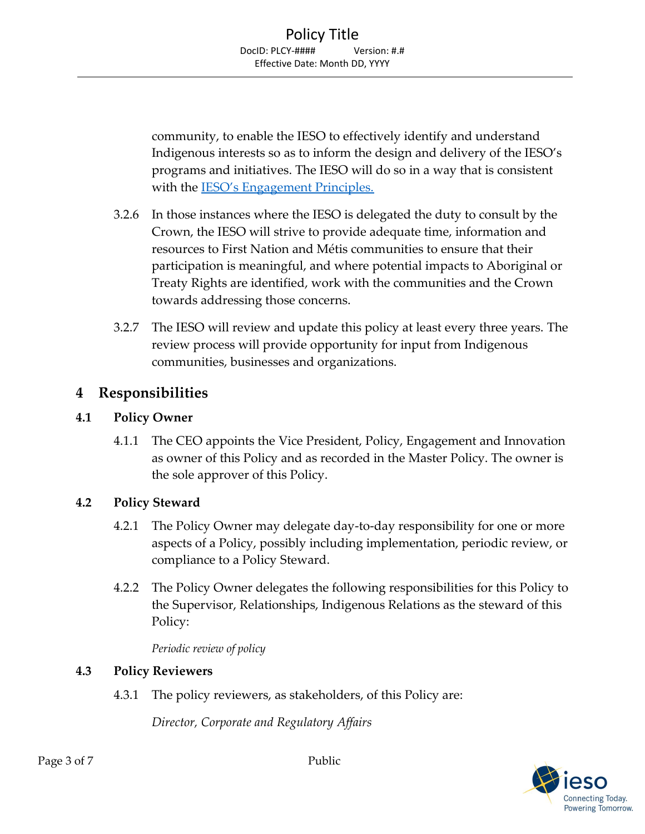community, to enable the IESO to effectively identify and understand Indigenous interests so as to inform the design and delivery of the IESO's programs and initiatives. The IESO will do so in a way that is consistent with the [IESO's Engagement Principles.](http://www.ieso.ca/en/Sector-Participants/Engagement-Initiatives/Overview/Engagement-Principles)

- 3.2.6 In those instances where the IESO is delegated the duty to consult by the Crown, the IESO will strive to provide adequate time, information and resources to First Nation and Métis communities to ensure that their participation is meaningful, and where potential impacts to Aboriginal or Treaty Rights are identified, work with the communities and the Crown towards addressing those concerns.
- 3.2.7 The IESO will review and update this policy at least every three years. The review process will provide opportunity for input from Indigenous communities, businesses and organizations.

## <span id="page-2-0"></span>**4 Responsibilities**

## <span id="page-2-1"></span>**4.1 Policy Owner**

4.1.1 The CEO appoints the Vice President, Policy, Engagement and Innovation as owner of this Policy and as recorded in the Master Policy. The owner is the sole approver of this Policy.

## <span id="page-2-2"></span>**4.2 Policy Steward**

- 4.2.1 The Policy Owner may delegate day-to-day responsibility for one or more aspects of a Policy, possibly including implementation, periodic review, or compliance to a Policy Steward.
- 4.2.2 The Policy Owner delegates the following responsibilities for this Policy to the Supervisor, Relationships, Indigenous Relations as the steward of this Policy:

*Periodic review of policy*

#### <span id="page-2-3"></span>**4.3 Policy Reviewers**

4.3.1 The policy reviewers, as stakeholders, of this Policy are:

*Director, Corporate and Regulatory Affairs*

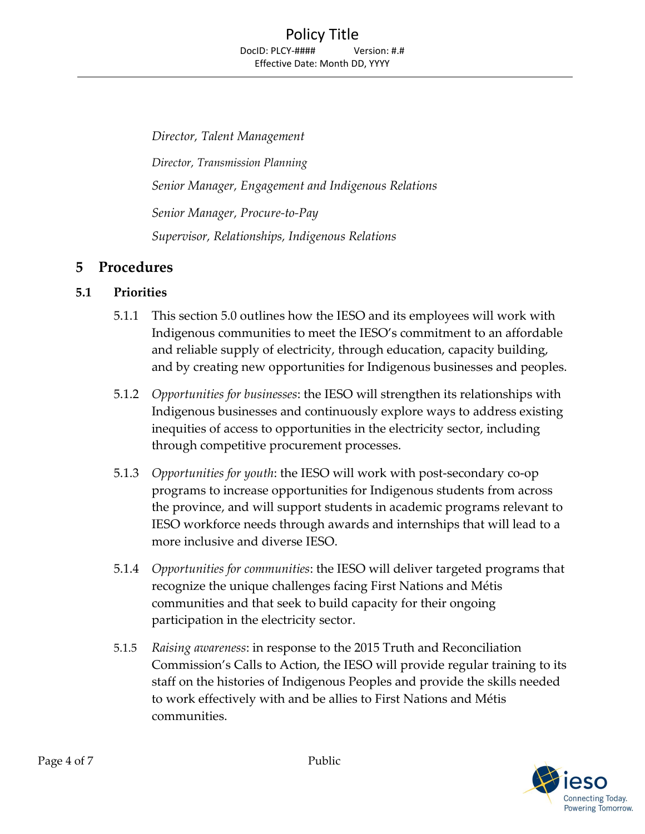*Director, Talent Management Director, Transmission Planning Senior Manager, Engagement and Indigenous Relations Senior Manager, Procure-to-Pay Supervisor, Relationships, Indigenous Relations*

## <span id="page-3-0"></span>**5 Procedures**

## <span id="page-3-1"></span>**5.1 Priorities**

- 5.1.1 This section 5.0 outlines how the IESO and its employees will work with Indigenous communities to meet the IESO's commitment to an affordable and reliable supply of electricity, through education, capacity building, and by creating new opportunities for Indigenous businesses and peoples.
- 5.1.2 *Opportunities for businesses*: the IESO will strengthen its relationships with Indigenous businesses and continuously explore ways to address existing inequities of access to opportunities in the electricity sector, including through competitive procurement processes.
- 5.1.3 *Opportunities for youth*: the IESO will work with post-secondary co-op programs to increase opportunities for Indigenous students from across the province, and will support students in academic programs relevant to IESO workforce needs through awards and internships that will lead to a more inclusive and diverse IESO.
- 5.1.4 *Opportunities for communities*: the IESO will deliver targeted programs that recognize the unique challenges facing First Nations and Métis communities and that seek to build capacity for their ongoing participation in the electricity sector.
- 5.1.5 *Raising awareness*: in response to the 2015 Truth and Reconciliation Commission's Calls to Action, the IESO will provide regular training to its staff on the histories of Indigenous Peoples and provide the skills needed to work effectively with and be allies to First Nations and Métis communities.

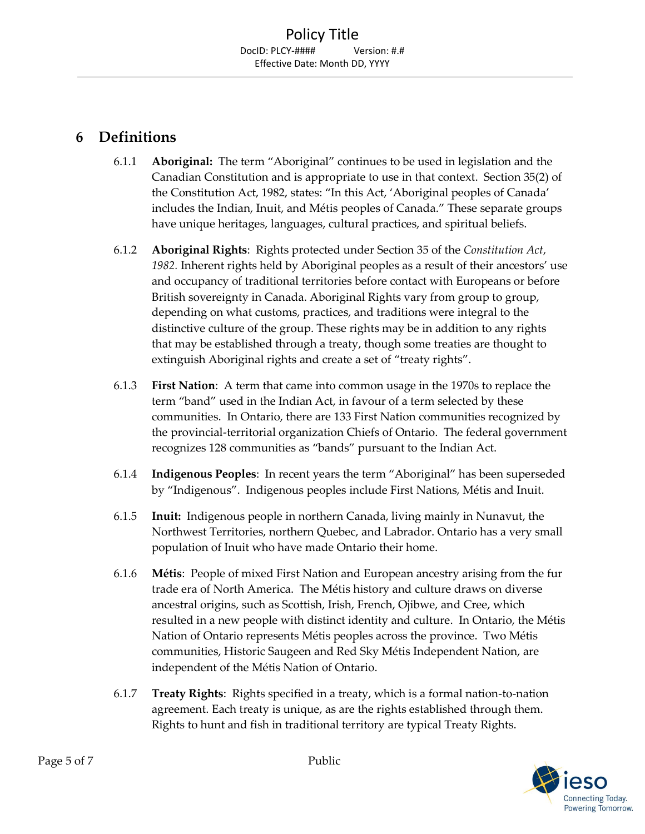## <span id="page-4-0"></span>**6 Definitions**

- 6.1.1 **Aboriginal:** The term "Aboriginal" continues to be used in legislation and the Canadian Constitution and is appropriate to use in that context. Section 35(2) of the Constitution Act, 1982, states: "In this Act, 'Aboriginal peoples of Canada' includes the Indian, Inuit, and Métis peoples of Canada." These separate groups have unique heritages, languages, cultural practices, and spiritual beliefs.
- 6.1.2 **Aboriginal Rights**: Rights protected under Section 35 of the *Constitution Act*, *1982.* Inherent rights held by Aboriginal peoples as a result of their ancestors' use and occupancy of traditional territories before contact with Europeans or before British sovereignty in Canada. Aboriginal Rights vary from group to group, depending on what customs, practices, and traditions were integral to the distinctive culture of the group. These rights may be in addition to any rights that may be established through a treaty, though some treaties are thought to extinguish Aboriginal rights and create a set of "treaty rights".
- 6.1.3 **First Nation**: A term that came into common usage in the 1970s to replace the term "band" used in the Indian Act, in favour of a term selected by these communities. In Ontario, there are 133 First Nation communities recognized by the provincial-territorial organization Chiefs of Ontario. The federal government recognizes 128 communities as "bands" pursuant to the Indian Act.
- 6.1.4 **Indigenous Peoples**: In recent years the term "Aboriginal" has been superseded by "Indigenous". Indigenous peoples include First Nations, Métis and Inuit.
- 6.1.5 **Inuit:** Indigenous people in northern Canada, living mainly in Nunavut, the Northwest Territories, northern Quebec, and Labrador. Ontario has a very small population of Inuit who have made Ontario their home.
- 6.1.6 **Métis**: People of mixed First Nation and European ancestry arising from the fur trade era of North America. The Métis history and culture draws on diverse ancestral origins, such as Scottish, Irish, French, Ojibwe, and Cree, which resulted in a new people with distinct identity and culture. In Ontario, the Métis Nation of Ontario represents Métis peoples across the province. Two Métis communities, Historic Saugeen and Red Sky Métis Independent Nation, are independent of the Métis Nation of Ontario.
- 6.1.7 **Treaty Rights**: Rights specified in a treaty, which is a formal nation-to-nation agreement. Each treaty is unique, as are the rights established through them. Rights to hunt and fish in traditional territory are typical Treaty Rights.

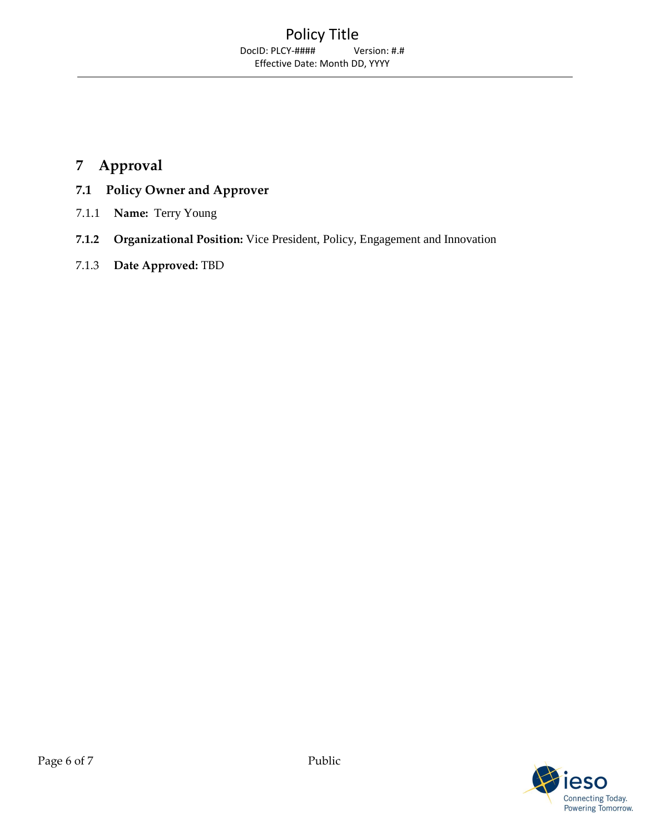## <span id="page-5-0"></span>**7 Approval**

- <span id="page-5-1"></span>**7.1 Policy Owner and Approver**
- 7.1.1 **Name:** Terry Young
- **7.1.2 Organizational Position:** Vice President, Policy, Engagement and Innovation
- 7.1.3 **Date Approved:** TBD